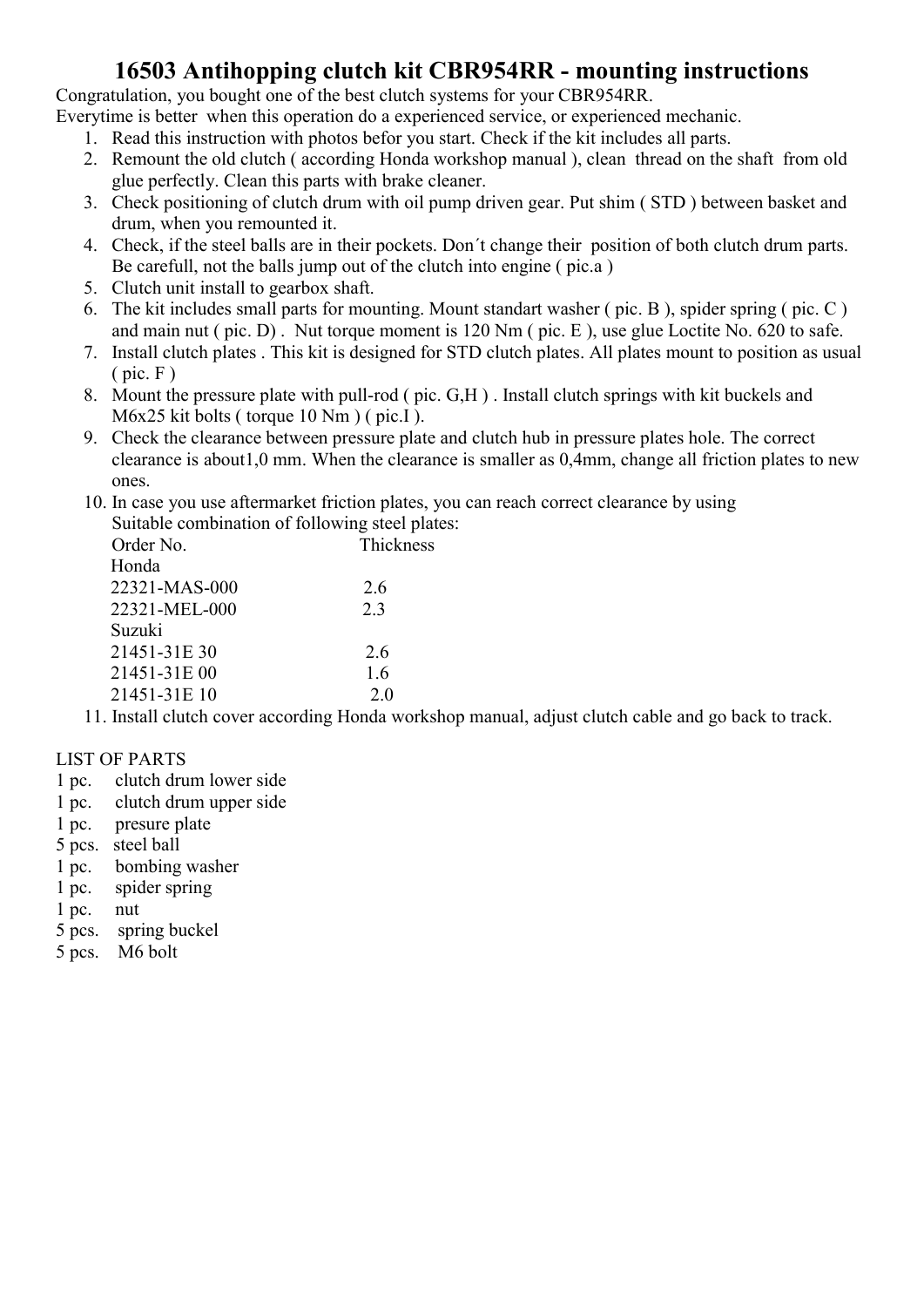### 16503 Antihopping clutch kit CBR954RR - mounting instructions

Congratulation, you bought one of the best clutch systems for your CBR954RR.

Everytime is better when this operation do a experienced service, or experienced mechanic.

- 1. Read this instruction with photos befor you start. Check if the kit includes all parts.
- 2. Remount the old clutch ( according Honda workshop manual ), clean thread on the shaft from old glue perfectly. Clean this parts with brake cleaner.
- 3. Check positioning of clutch drum with oil pump driven gear. Put shim ( STD ) between basket and drum, when you remounted it.
- 4. Check, if the steel balls are in their pockets. Don´t change their position of both clutch drum parts. Be carefull, not the balls jump out of the clutch into engine ( pic.a )
- 5. Clutch unit install to gearbox shaft.
- 6. The kit includes small parts for mounting. Mount standart washer ( pic. B ), spider spring ( pic. C ) and main nut ( pic. D) . Nut torque moment is 120 Nm ( pic. E ), use glue Loctite No. 620 to safe.
- 7. Install clutch plates . This kit is designed for STD clutch plates. All plates mount to position as usual  $(pic. F)$
- 8. Mount the pressure plate with pull-rod ( pic. G,H ) . Install clutch springs with kit buckels and M6x25 kit bolts ( torque 10 Nm ) ( pic.I ).
- 9. Check the clearance between pressure plate and clutch hub in pressure plates hole. The correct clearance is about1,0 mm. When the clearance is smaller as 0,4mm, change all friction plates to new ones.
- 10. In case you use aftermarket friction plates, you can reach correct clearance by using Suitable combination of following steel plates:

| Order No.     | Thickness |
|---------------|-----------|
| Honda         |           |
| 22321-MAS-000 | 2.6       |
| 22321-MEL-000 | 2.3       |
| Suzuki        |           |
| 21451-31E 30  | 2.6       |
| 21451-31E 00  | 1.6       |
| 21451-31E 10  | 2.0       |
|               |           |

11. Install clutch cover according Honda workshop manual, adjust clutch cable and go back to track.

### LIST OF PARTS

- 1 pc. clutch drum lower side
- 1 pc. clutch drum upper side
- 1 pc. presure plate
- 5 pcs. steel ball
- 1 pc. bombing washer
- 1 pc. spider spring
- 1 pc. nut
- 5 pcs. spring buckel
- 5 pcs. M6 bolt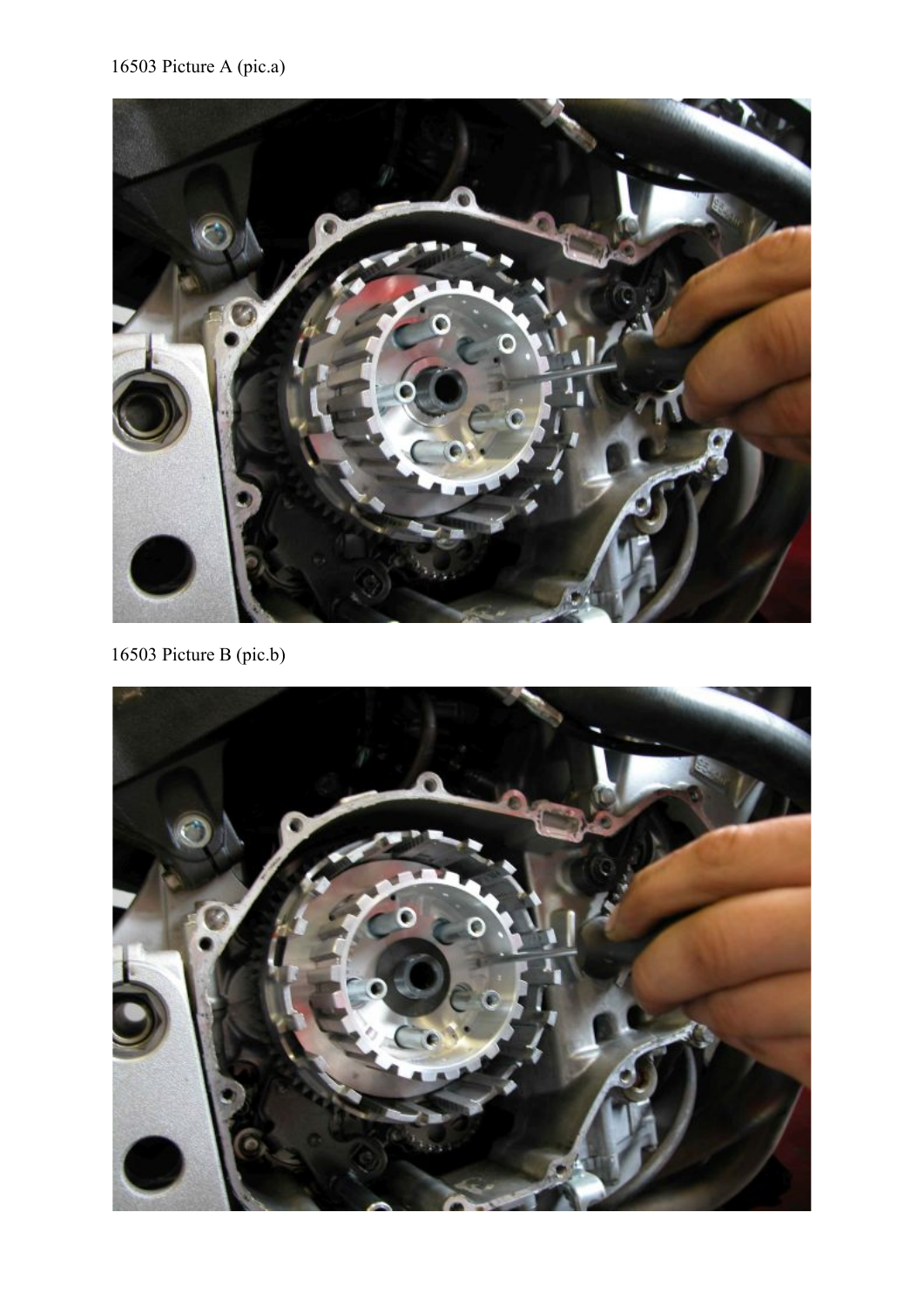# 16503 Picture A (pic.a)



16503 Picture B (pic.b)

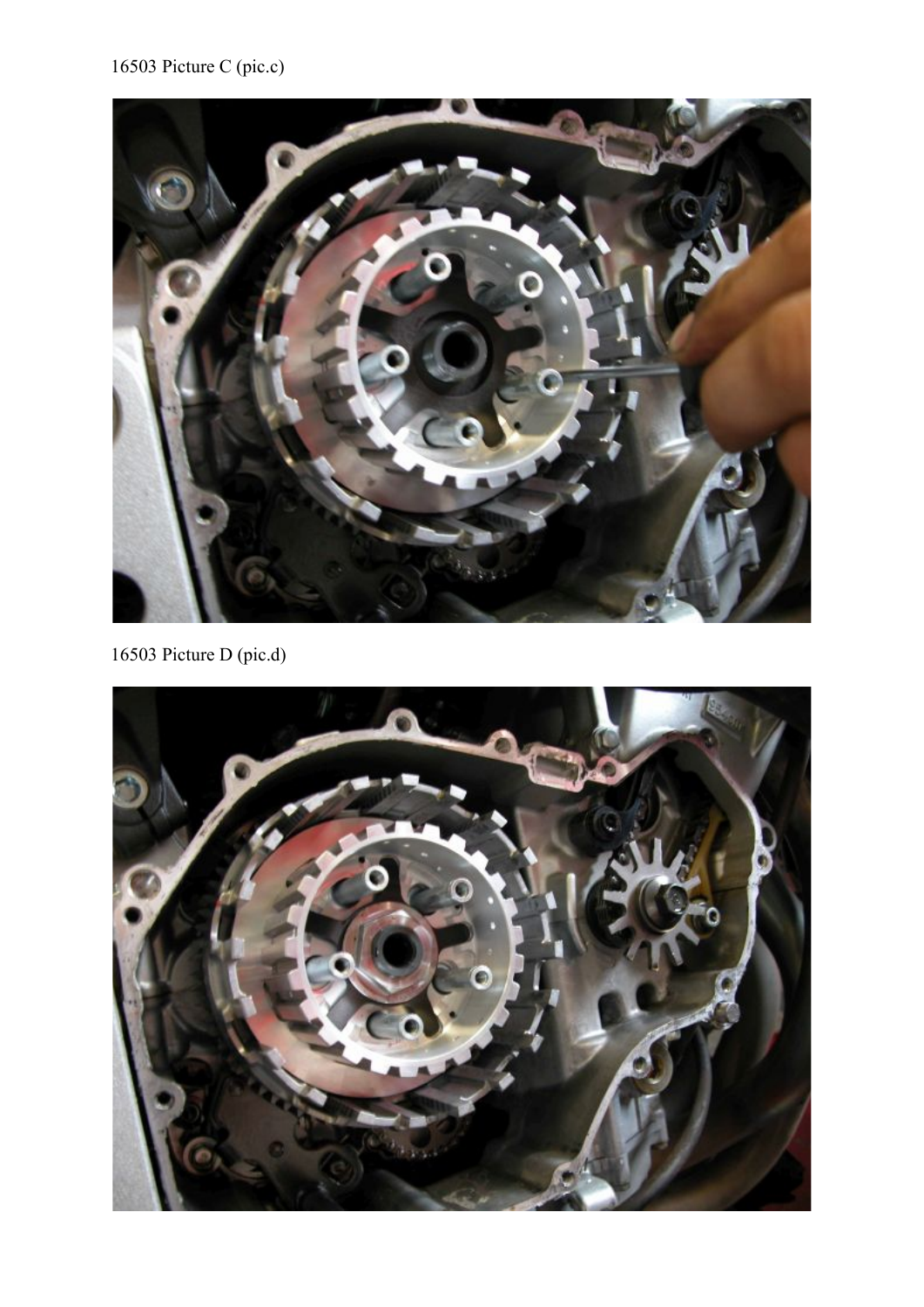# 16503 Picture C (pic.c)



16503 Picture D (pic.d)

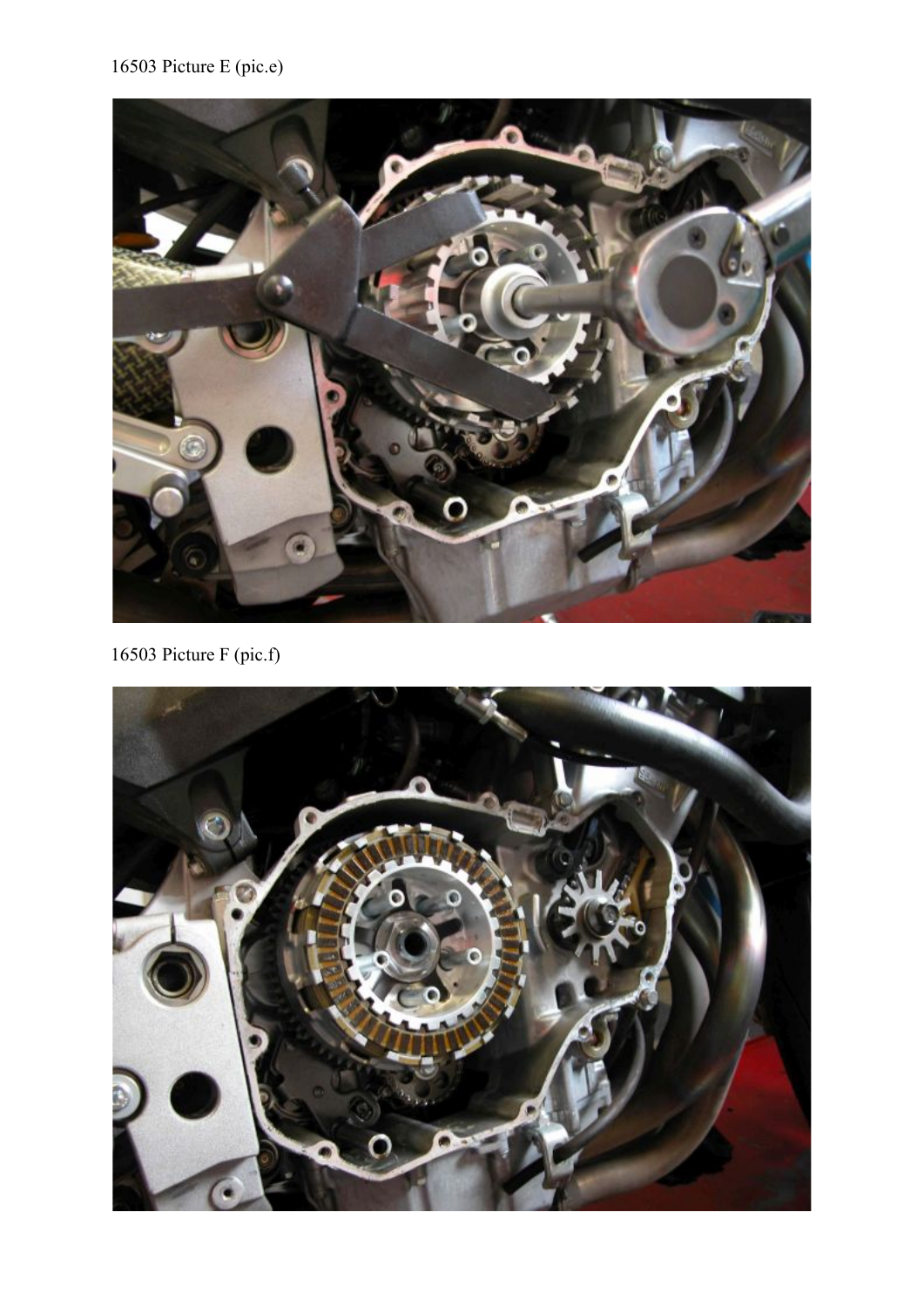# 16503 Picture E (pic.e)



16503 Picture F (pic.f)

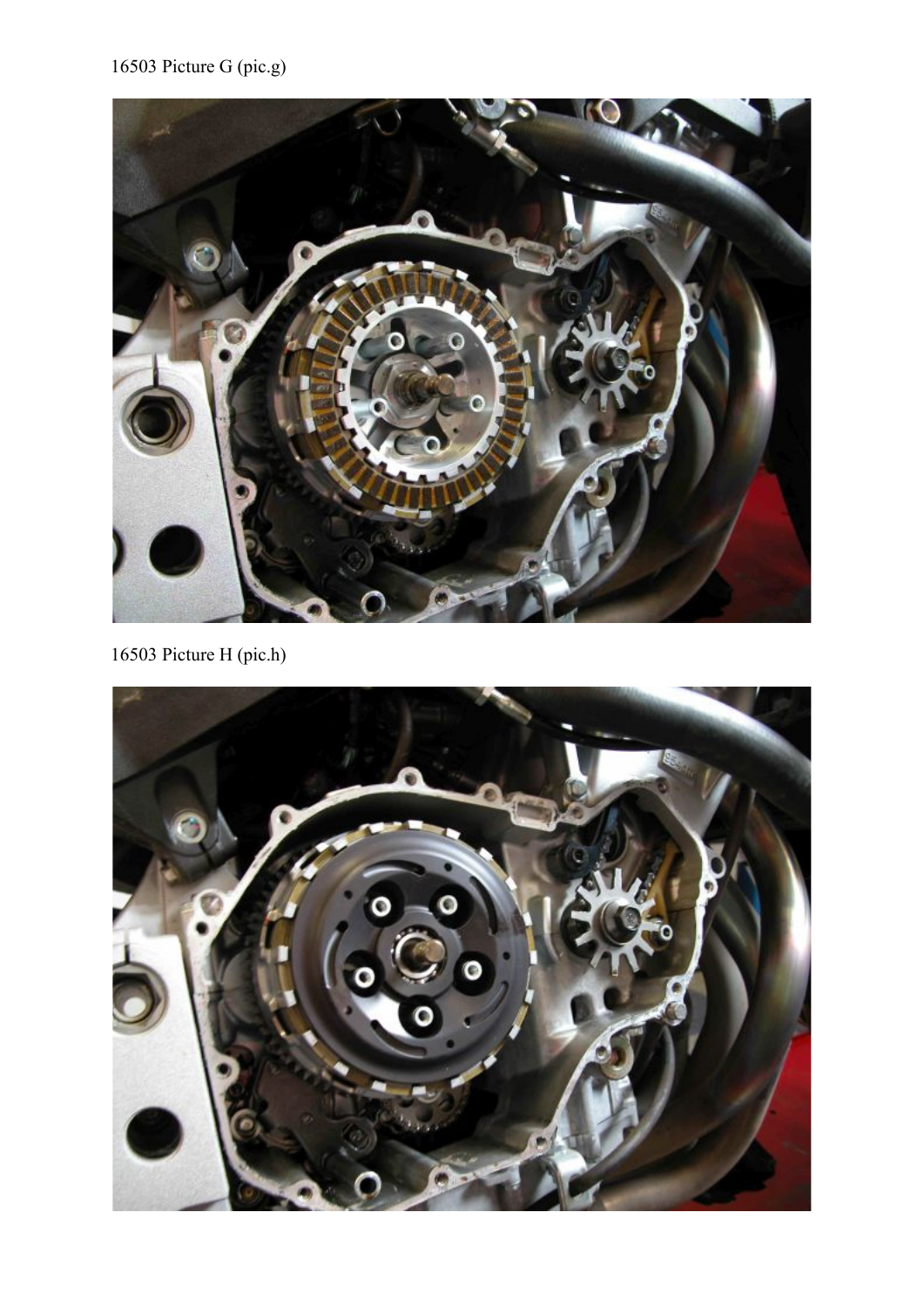

16503 Picture H (pic.h)